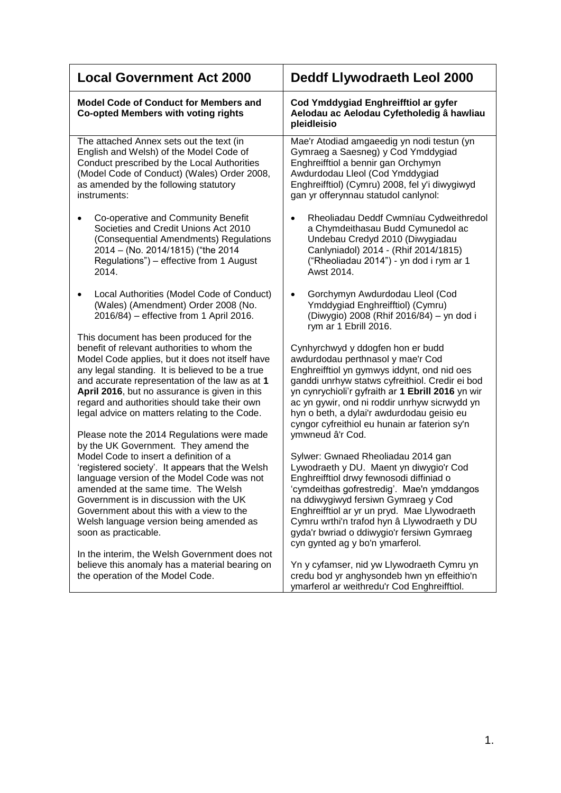| <b>Local Government Act 2000</b>                                                                                                                                                                                                                                                                                                                                                                                                               | Deddf Llywodraeth Leol 2000                                                                                                                                                                                                                                                                                                                                                                       |
|------------------------------------------------------------------------------------------------------------------------------------------------------------------------------------------------------------------------------------------------------------------------------------------------------------------------------------------------------------------------------------------------------------------------------------------------|---------------------------------------------------------------------------------------------------------------------------------------------------------------------------------------------------------------------------------------------------------------------------------------------------------------------------------------------------------------------------------------------------|
| <b>Model Code of Conduct for Members and</b><br><b>Co-opted Members with voting rights</b>                                                                                                                                                                                                                                                                                                                                                     | Cod Ymddygiad Enghreifftiol ar gyfer<br>Aelodau ac Aelodau Cyfetholedig â hawliau<br>pleidleisio                                                                                                                                                                                                                                                                                                  |
| The attached Annex sets out the text (in<br>English and Welsh) of the Model Code of<br>Conduct prescribed by the Local Authorities<br>(Model Code of Conduct) (Wales) Order 2008,<br>as amended by the following statutory<br>instruments:                                                                                                                                                                                                     | Mae'r Atodiad amgaeedig yn nodi testun (yn<br>Gymraeg a Saesneg) y Cod Ymddygiad<br>Enghreifftiol a bennir gan Orchymyn<br>Awdurdodau Lleol (Cod Ymddygiad<br>Enghreifftiol) (Cymru) 2008, fel y'i diwygiwyd<br>gan yr offerynnau statudol canlynol:                                                                                                                                              |
| Co-operative and Community Benefit<br>Societies and Credit Unions Act 2010<br>(Consequential Amendments) Regulations<br>2014 - (No. 2014/1815) ("the 2014<br>Regulations") - effective from 1 August<br>2014.                                                                                                                                                                                                                                  | Rheoliadau Deddf Cwmnïau Cydweithredol<br>$\bullet$<br>a Chymdeithasau Budd Cymunedol ac<br>Undebau Credyd 2010 (Diwygiadau<br>Canlyniadol) 2014 - (Rhif 2014/1815)<br>("Rheoliadau 2014") - yn dod i rym ar 1<br>Awst 2014.                                                                                                                                                                      |
| Local Authorities (Model Code of Conduct)<br>$\bullet$<br>(Wales) (Amendment) Order 2008 (No.<br>2016/84) - effective from 1 April 2016.                                                                                                                                                                                                                                                                                                       | Gorchymyn Awdurdodau Lleol (Cod<br>$\bullet$<br>Ymddygiad Enghreifftiol) (Cymru)<br>(Diwygio) 2008 (Rhif 2016/84) - yn dod i<br>rym ar 1 Ebrill 2016.                                                                                                                                                                                                                                             |
| This document has been produced for the<br>benefit of relevant authorities to whom the<br>Model Code applies, but it does not itself have<br>any legal standing. It is believed to be a true<br>and accurate representation of the law as at 1<br>April 2016, but no assurance is given in this<br>regard and authorities should take their own<br>legal advice on matters relating to the Code.<br>Please note the 2014 Regulations were made | Cynhyrchwyd y ddogfen hon er budd<br>awdurdodau perthnasol y mae'r Cod<br>Enghreifftiol yn gymwys iddynt, ond nid oes<br>ganddi unrhyw statws cyfreithiol. Credir ei bod<br>yn cynrychioli'r gyfraith ar 1 Ebrill 2016 yn wir<br>ac yn gywir, ond ni roddir unrhyw sicrwydd yn<br>hyn o beth, a dylai'r awdurdodau geisio eu<br>cyngor cyfreithiol eu hunain ar faterion sy'n<br>ymwneud â'r Cod. |
| by the UK Government. They amend the<br>Model Code to insert a definition of a<br>'registered society'. It appears that the Welsh<br>language version of the Model Code was not<br>amended at the same time. The Welsh<br>Government is in discussion with the UK<br>Government about this with a view to the<br>Welsh language version being amended as<br>soon as practicable.<br>In the interim, the Welsh Government does not              | Sylwer: Gwnaed Rheoliadau 2014 gan<br>Lywodraeth y DU. Maent yn diwygio'r Cod<br>Enghreifftiol drwy fewnosodi diffiniad o<br>'cymdeithas gofrestredig'. Mae'n ymddangos<br>na ddiwygiwyd fersiwn Gymraeg y Cod<br>Enghreifftiol ar yr un pryd. Mae Llywodraeth<br>Cymru wrthi'n trafod hyn â Llywodraeth y DU<br>gyda'r bwriad o ddiwygio'r fersiwn Gymraeg<br>cyn gynted ag y bo'n ymarferol.    |
| believe this anomaly has a material bearing on<br>the operation of the Model Code.                                                                                                                                                                                                                                                                                                                                                             | Yn y cyfamser, nid yw Llywodraeth Cymru yn<br>credu bod yr anghysondeb hwn yn effeithio'n<br>ymarferol ar weithredu'r Cod Enghreifftiol.                                                                                                                                                                                                                                                          |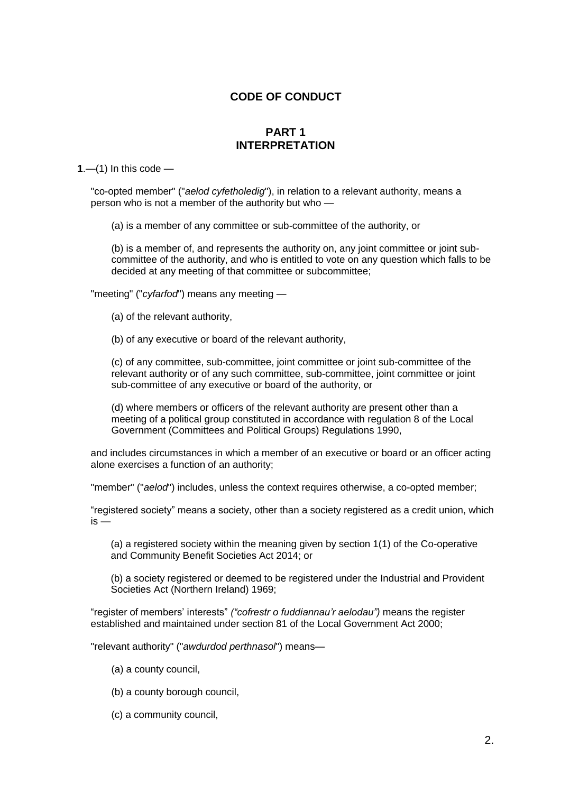# **CODE OF CONDUCT**

# **PART 1 INTERPRETATION**

 $1 - (1)$  In this code  $-$ 

"co-opted member" ("*aelod cyfetholedig*"), in relation to a relevant authority, means a person who is not a member of the authority but who —

(a) is a member of any committee or sub-committee of the authority, or

(b) is a member of, and represents the authority on, any joint committee or joint subcommittee of the authority, and who is entitled to vote on any question which falls to be decided at any meeting of that committee or subcommittee;

"meeting" ("*cyfarfod*") means any meeting —

(a) of the relevant authority,

(b) of any executive or board of the relevant authority,

(c) of any committee, sub-committee, joint committee or joint sub-committee of the relevant authority or of any such committee, sub-committee, joint committee or joint sub-committee of any executive or board of the authority, or

(d) where members or officers of the relevant authority are present other than a meeting of a political group constituted in accordance with regulation 8 of the Local Government (Committees and Political Groups) Regulations 1990,

and includes circumstances in which a member of an executive or board or an officer acting alone exercises a function of an authority;

"member" ("*aelod*") includes, unless the context requires otherwise, a co-opted member;

―registered society‖ means a society, other than a society registered as a credit union, which is —

(a) a registered society within the meaning given by section 1(1) of the Co-operative and Community Benefit Societies Act 2014; or

(b) a society registered or deemed to be registered under the Industrial and Provident Societies Act (Northern Ireland) 1969;

―register of members' interests‖ *("cofrestr o fuddiannau'r aelodau")* means the register established and maintained under section 81 of the Local Government Act 2000;

"relevant authority" ("*awdurdod perthnasol*") means—

- (a) a county council,
- (b) a county borough council,
- (c) a community council,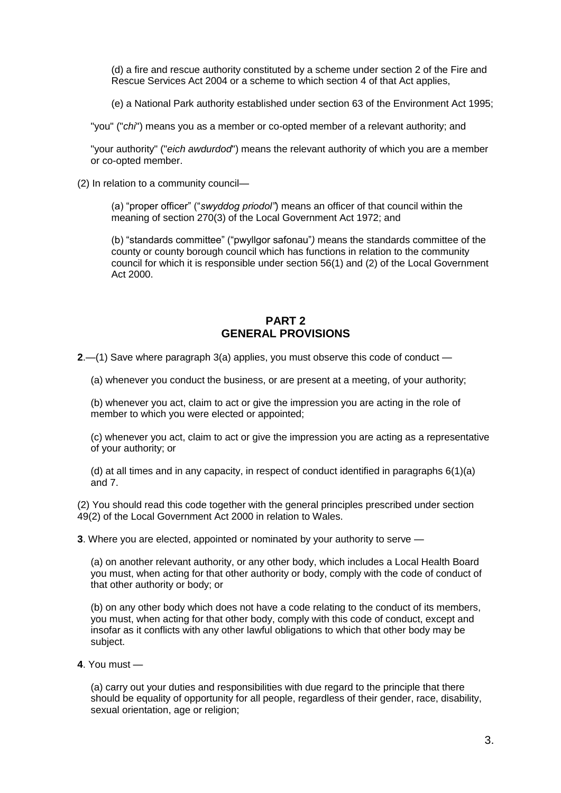(d) a fire and rescue authority constituted by a scheme under section 2 of the Fire and Rescue Services Act 2004 or a scheme to which section 4 of that Act applies,

(e) a National Park authority established under section 63 of the Environment Act 1995;

"you" ("*chi*") means you as a member or co-opted member of a relevant authority; and

"your authority" ("*eich awdurdod*") means the relevant authority of which you are a member or co-opted member.

(2) In relation to a community council—

(a) "proper officer" ("*swyddog priodol*") means an officer of that council within the meaning of section 270(3) of the Local Government Act 1972; and

(b) "standards committee" ("pwyllgor safonau") means the standards committee of the county or county borough council which has functions in relation to the community council for which it is responsible under section 56(1) and (2) of the Local Government Act 2000.

# **PART 2 GENERAL PROVISIONS**

**2**.—(1) Save where paragraph 3(a) applies, you must observe this code of conduct —

(a) whenever you conduct the business, or are present at a meeting, of your authority;

(b) whenever you act, claim to act or give the impression you are acting in the role of member to which you were elected or appointed;

(c) whenever you act, claim to act or give the impression you are acting as a representative of your authority; or

(d) at all times and in any capacity, in respect of conduct identified in paragraphs 6(1)(a) and 7.

(2) You should read this code together with the general principles prescribed under section 49(2) of the Local Government Act 2000 in relation to Wales.

**3**. Where you are elected, appointed or nominated by your authority to serve —

(a) on another relevant authority, or any other body, which includes a Local Health Board you must, when acting for that other authority or body, comply with the code of conduct of that other authority or body; or

(b) on any other body which does not have a code relating to the conduct of its members, you must, when acting for that other body, comply with this code of conduct, except and insofar as it conflicts with any other lawful obligations to which that other body may be subject.

**4**. You must —

(a) carry out your duties and responsibilities with due regard to the principle that there should be equality of opportunity for all people, regardless of their gender, race, disability, sexual orientation, age or religion;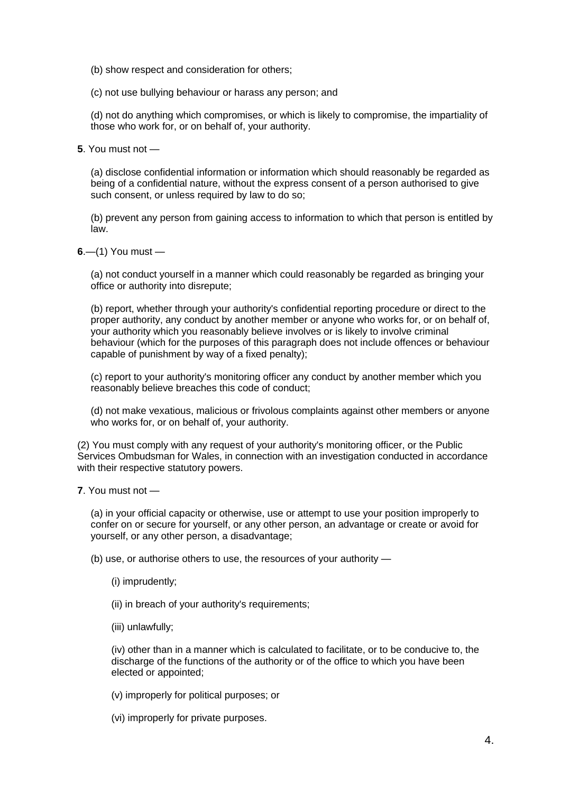- (b) show respect and consideration for others;
- (c) not use bullying behaviour or harass any person; and

(d) not do anything which compromises, or which is likely to compromise, the impartiality of those who work for, or on behalf of, your authority.

**5**. You must not —

(a) disclose confidential information or information which should reasonably be regarded as being of a confidential nature, without the express consent of a person authorised to give such consent, or unless required by law to do so;

(b) prevent any person from gaining access to information to which that person is entitled by law.

**6**.—(1) You must —

(a) not conduct yourself in a manner which could reasonably be regarded as bringing your office or authority into disrepute;

(b) report, whether through your authority's confidential reporting procedure or direct to the proper authority, any conduct by another member or anyone who works for, or on behalf of, your authority which you reasonably believe involves or is likely to involve criminal behaviour (which for the purposes of this paragraph does not include offences or behaviour capable of punishment by way of a fixed penalty);

(c) report to your authority's monitoring officer any conduct by another member which you reasonably believe breaches this code of conduct;

(d) not make vexatious, malicious or frivolous complaints against other members or anyone who works for, or on behalf of, your authority.

(2) You must comply with any request of your authority's monitoring officer, or the Public Services Ombudsman for Wales, in connection with an investigation conducted in accordance with their respective statutory powers.

**7**. You must not —

(a) in your official capacity or otherwise, use or attempt to use your position improperly to confer on or secure for yourself, or any other person, an advantage or create or avoid for yourself, or any other person, a disadvantage;

(b) use, or authorise others to use, the resources of your authority —

- (i) imprudently;
- (ii) in breach of your authority's requirements;
- (iii) unlawfully;

(iv) other than in a manner which is calculated to facilitate, or to be conducive to, the discharge of the functions of the authority or of the office to which you have been elected or appointed;

- (v) improperly for political purposes; or
- (vi) improperly for private purposes.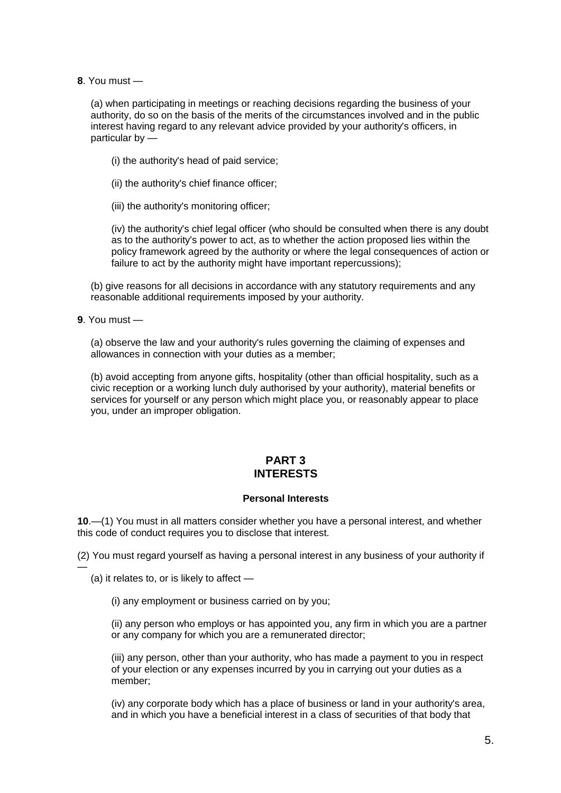**8**. You must —

(a) when participating in meetings or reaching decisions regarding the business of your authority, do so on the basis of the merits of the circumstances involved and in the public interest having regard to any relevant advice provided by your authority's officers, in particular by —

- (i) the authority's head of paid service;
- (ii) the authority's chief finance officer;
- (iii) the authority's monitoring officer;

(iv) the authority's chief legal officer (who should be consulted when there is any doubt as to the authority's power to act, as to whether the action proposed lies within the policy framework agreed by the authority or where the legal consequences of action or failure to act by the authority might have important repercussions);

(b) give reasons for all decisions in accordance with any statutory requirements and any reasonable additional requirements imposed by your authority.

**9**. You must —

—

(a) observe the law and your authority's rules governing the claiming of expenses and allowances in connection with your duties as a member;

(b) avoid accepting from anyone gifts, hospitality (other than official hospitality, such as a civic reception or a working lunch duly authorised by your authority), material benefits or services for yourself or any person which might place you, or reasonably appear to place you, under an improper obligation.

## **PART 3 INTERESTS**

#### **Personal Interests**

**10**.—(1) You must in all matters consider whether you have a personal interest, and whether this code of conduct requires you to disclose that interest.

(2) You must regard yourself as having a personal interest in any business of your authority if

(a) it relates to, or is likely to affect —

(i) any employment or business carried on by you;

(ii) any person who employs or has appointed you, any firm in which you are a partner or any company for which you are a remunerated director;

(iii) any person, other than your authority, who has made a payment to you in respect of your election or any expenses incurred by you in carrying out your duties as a member;

(iv) any corporate body which has a place of business or land in your authority's area, and in which you have a beneficial interest in a class of securities of that body that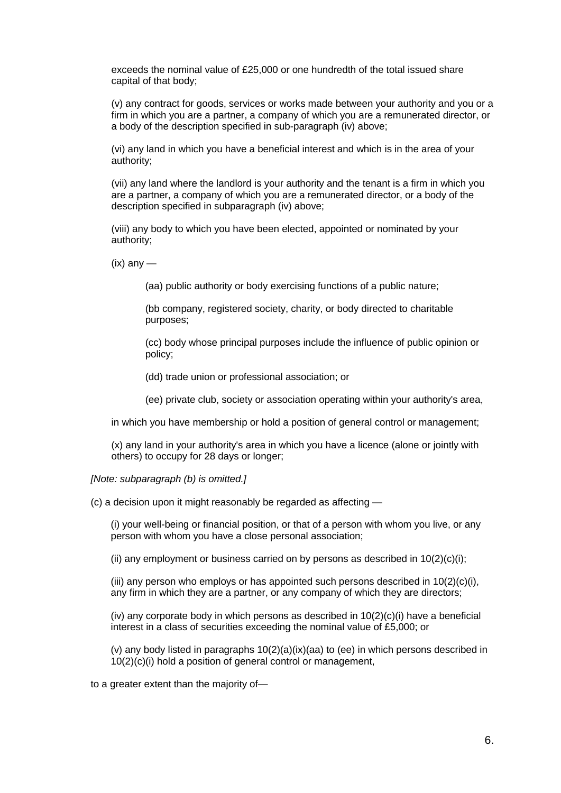exceeds the nominal value of £25,000 or one hundredth of the total issued share capital of that body;

(v) any contract for goods, services or works made between your authority and you or a firm in which you are a partner, a company of which you are a remunerated director, or a body of the description specified in sub-paragraph (iv) above;

(vi) any land in which you have a beneficial interest and which is in the area of your authority;

(vii) any land where the landlord is your authority and the tenant is a firm in which you are a partner, a company of which you are a remunerated director, or a body of the description specified in subparagraph (iv) above;

(viii) any body to which you have been elected, appointed or nominated by your authority;

 $(ix)$  any  $-$ 

(aa) public authority or body exercising functions of a public nature;

(bb company, registered society, charity, or body directed to charitable purposes;

(cc) body whose principal purposes include the influence of public opinion or policy;

(dd) trade union or professional association; or

(ee) private club, society or association operating within your authority's area,

in which you have membership or hold a position of general control or management;

(x) any land in your authority's area in which you have a licence (alone or jointly with others) to occupy for 28 days or longer;

*[Note: subparagraph (b) is omitted.]*

(c) a decision upon it might reasonably be regarded as affecting —

(i) your well-being or financial position, or that of a person with whom you live, or any person with whom you have a close personal association;

(ii) any employment or business carried on by persons as described in  $10(2)(c)(i)$ ;

(iii) any person who employs or has appointed such persons described in  $10(2)(c)(i)$ , any firm in which they are a partner, or any company of which they are directors;

(iv) any corporate body in which persons as described in 10(2)(c)(i) have a beneficial interest in a class of securities exceeding the nominal value of £5,000; or

(v) any body listed in paragraphs  $10(2)(a)(ix)(aa)$  to (ee) in which persons described in 10(2)(c)(i) hold a position of general control or management,

to a greater extent than the majority of—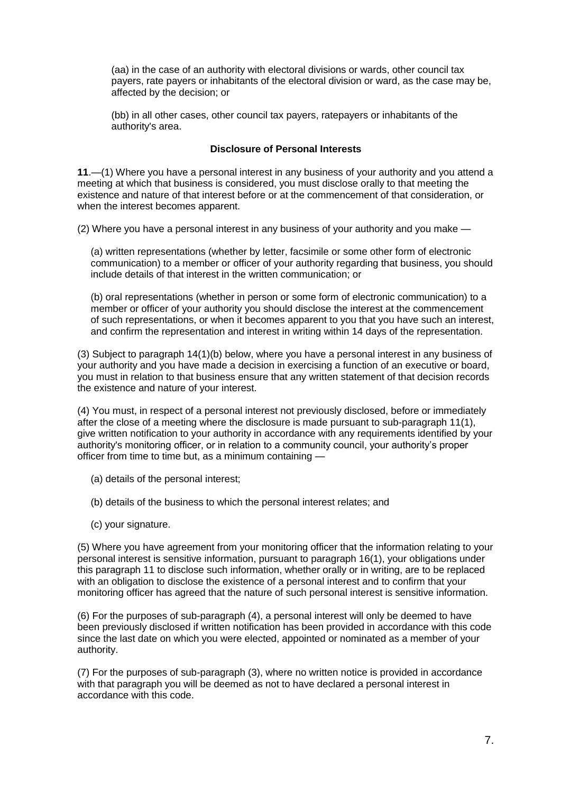(aa) in the case of an authority with electoral divisions or wards, other council tax payers, rate payers or inhabitants of the electoral division or ward, as the case may be, affected by the decision; or

(bb) in all other cases, other council tax payers, ratepayers or inhabitants of the authority's area.

### **Disclosure of Personal Interests**

**11**.—(1) Where you have a personal interest in any business of your authority and you attend a meeting at which that business is considered, you must disclose orally to that meeting the existence and nature of that interest before or at the commencement of that consideration, or when the interest becomes apparent.

(2) Where you have a personal interest in any business of your authority and you make —

(a) written representations (whether by letter, facsimile or some other form of electronic communication) to a member or officer of your authority regarding that business, you should include details of that interest in the written communication; or

(b) oral representations (whether in person or some form of electronic communication) to a member or officer of your authority you should disclose the interest at the commencement of such representations, or when it becomes apparent to you that you have such an interest, and confirm the representation and interest in writing within 14 days of the representation.

(3) Subject to paragraph 14(1)(b) below, where you have a personal interest in any business of your authority and you have made a decision in exercising a function of an executive or board, you must in relation to that business ensure that any written statement of that decision records the existence and nature of your interest.

(4) You must, in respect of a personal interest not previously disclosed, before or immediately after the close of a meeting where the disclosure is made pursuant to sub-paragraph 11(1), give written notification to your authority in accordance with any requirements identified by your authority's monitoring officer, or in relation to a community council, your authority's proper officer from time to time but, as a minimum containing —

- (a) details of the personal interest;
- (b) details of the business to which the personal interest relates; and
- (c) your signature.

(5) Where you have agreement from your monitoring officer that the information relating to your personal interest is sensitive information, pursuant to paragraph 16(1), your obligations under this paragraph 11 to disclose such information, whether orally or in writing, are to be replaced with an obligation to disclose the existence of a personal interest and to confirm that your monitoring officer has agreed that the nature of such personal interest is sensitive information.

(6) For the purposes of sub-paragraph (4), a personal interest will only be deemed to have been previously disclosed if written notification has been provided in accordance with this code since the last date on which you were elected, appointed or nominated as a member of your authority.

(7) For the purposes of sub-paragraph (3), where no written notice is provided in accordance with that paragraph you will be deemed as not to have declared a personal interest in accordance with this code.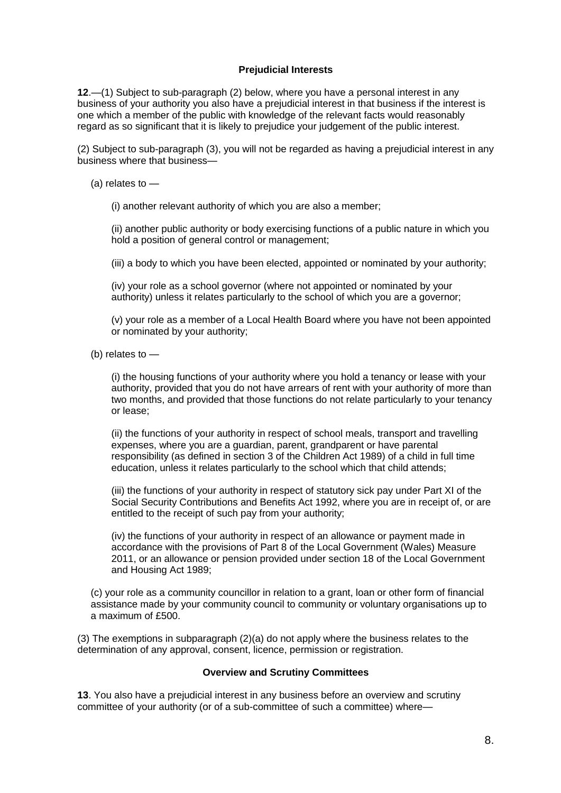## **Prejudicial Interests**

**12**.—(1) Subject to sub-paragraph (2) below, where you have a personal interest in any business of your authority you also have a prejudicial interest in that business if the interest is one which a member of the public with knowledge of the relevant facts would reasonably regard as so significant that it is likely to prejudice your judgement of the public interest.

(2) Subject to sub-paragraph (3), you will not be regarded as having a prejudicial interest in any business where that business—

(a) relates to —

(i) another relevant authority of which you are also a member;

(ii) another public authority or body exercising functions of a public nature in which you hold a position of general control or management;

(iii) a body to which you have been elected, appointed or nominated by your authority;

(iv) your role as a school governor (where not appointed or nominated by your authority) unless it relates particularly to the school of which you are a governor;

(v) your role as a member of a Local Health Board where you have not been appointed or nominated by your authority;

(b) relates to —

(i) the housing functions of your authority where you hold a tenancy or lease with your authority, provided that you do not have arrears of rent with your authority of more than two months, and provided that those functions do not relate particularly to your tenancy or lease;

(ii) the functions of your authority in respect of school meals, transport and travelling expenses, where you are a guardian, parent, grandparent or have parental responsibility (as defined in section 3 of the Children Act 1989) of a child in full time education, unless it relates particularly to the school which that child attends;

(iii) the functions of your authority in respect of statutory sick pay under Part XI of the Social Security Contributions and Benefits Act 1992, where you are in receipt of, or are entitled to the receipt of such pay from your authority;

(iv) the functions of your authority in respect of an allowance or payment made in accordance with the provisions of Part 8 of the Local Government (Wales) Measure 2011, or an allowance or pension provided under section 18 of the Local Government and Housing Act 1989;

(c) your role as a community councillor in relation to a grant, loan or other form of financial assistance made by your community council to community or voluntary organisations up to a maximum of £500.

(3) The exemptions in subparagraph (2)(a) do not apply where the business relates to the determination of any approval, consent, licence, permission or registration.

### **Overview and Scrutiny Committees**

**13**. You also have a prejudicial interest in any business before an overview and scrutiny committee of your authority (or of a sub-committee of such a committee) where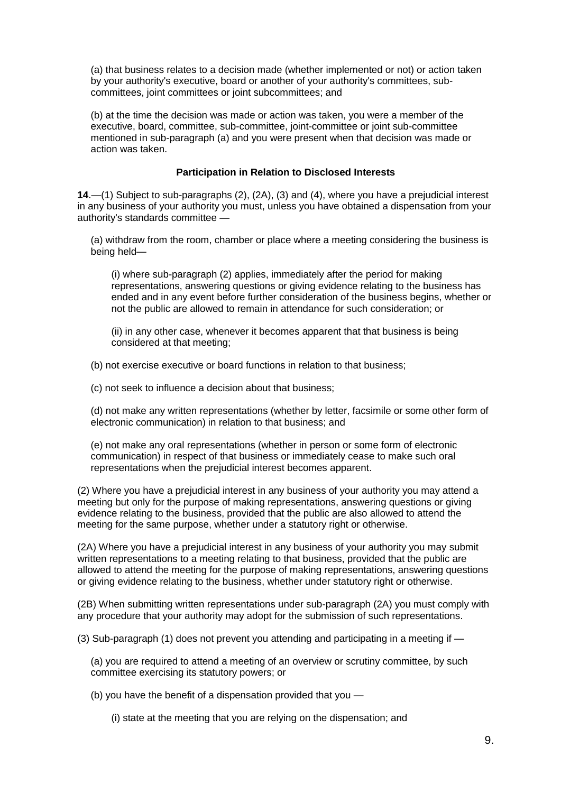(a) that business relates to a decision made (whether implemented or not) or action taken by your authority's executive, board or another of your authority's committees, subcommittees, joint committees or joint subcommittees; and

(b) at the time the decision was made or action was taken, you were a member of the executive, board, committee, sub-committee, joint-committee or joint sub-committee mentioned in sub-paragraph (a) and you were present when that decision was made or action was taken.

### **Participation in Relation to Disclosed Interests**

**14**.—(1) Subject to sub-paragraphs (2), (2A), (3) and (4), where you have a prejudicial interest in any business of your authority you must, unless you have obtained a dispensation from your authority's standards committee —

(a) withdraw from the room, chamber or place where a meeting considering the business is being held—

(i) where sub-paragraph (2) applies, immediately after the period for making representations, answering questions or giving evidence relating to the business has ended and in any event before further consideration of the business begins, whether or not the public are allowed to remain in attendance for such consideration; or

(ii) in any other case, whenever it becomes apparent that that business is being considered at that meeting;

(b) not exercise executive or board functions in relation to that business;

(c) not seek to influence a decision about that business;

(d) not make any written representations (whether by letter, facsimile or some other form of electronic communication) in relation to that business; and

(e) not make any oral representations (whether in person or some form of electronic communication) in respect of that business or immediately cease to make such oral representations when the prejudicial interest becomes apparent.

(2) Where you have a prejudicial interest in any business of your authority you may attend a meeting but only for the purpose of making representations, answering questions or giving evidence relating to the business, provided that the public are also allowed to attend the meeting for the same purpose, whether under a statutory right or otherwise.

(2A) Where you have a prejudicial interest in any business of your authority you may submit written representations to a meeting relating to that business, provided that the public are allowed to attend the meeting for the purpose of making representations, answering questions or giving evidence relating to the business, whether under statutory right or otherwise.

(2B) When submitting written representations under sub-paragraph (2A) you must comply with any procedure that your authority may adopt for the submission of such representations.

(3) Sub-paragraph (1) does not prevent you attending and participating in a meeting if —

(a) you are required to attend a meeting of an overview or scrutiny committee, by such committee exercising its statutory powers; or

(b) you have the benefit of a dispensation provided that you —

(i) state at the meeting that you are relying on the dispensation; and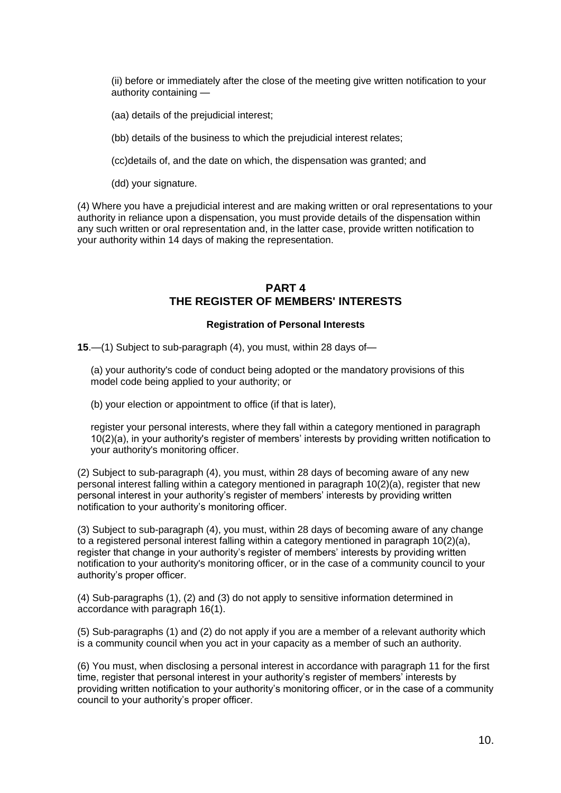(ii) before or immediately after the close of the meeting give written notification to your authority containing —

- (aa) details of the prejudicial interest;
- (bb) details of the business to which the prejudicial interest relates;
- (cc)details of, and the date on which, the dispensation was granted; and
- (dd) your signature.

(4) Where you have a prejudicial interest and are making written or oral representations to your authority in reliance upon a dispensation, you must provide details of the dispensation within any such written or oral representation and, in the latter case, provide written notification to your authority within 14 days of making the representation.

## **PART 4 THE REGISTER OF MEMBERS' INTERESTS**

#### **Registration of Personal Interests**

**15**.—(1) Subject to sub-paragraph (4), you must, within 28 days of—

(a) your authority's code of conduct being adopted or the mandatory provisions of this model code being applied to your authority; or

(b) your election or appointment to office (if that is later),

register your personal interests, where they fall within a category mentioned in paragraph 10(2)(a), in your authority's register of members' interests by providing written notification to your authority's monitoring officer.

(2) Subject to sub-paragraph (4), you must, within 28 days of becoming aware of any new personal interest falling within a category mentioned in paragraph 10(2)(a), register that new personal interest in your authority's register of members' interests by providing written notification to your authority's monitoring officer.

(3) Subject to sub-paragraph (4), you must, within 28 days of becoming aware of any change to a registered personal interest falling within a category mentioned in paragraph 10(2)(a), register that change in your authority's register of members' interests by providing written notification to your authority's monitoring officer, or in the case of a community council to your authority's proper officer.

(4) Sub-paragraphs (1), (2) and (3) do not apply to sensitive information determined in accordance with paragraph 16(1).

(5) Sub-paragraphs (1) and (2) do not apply if you are a member of a relevant authority which is a community council when you act in your capacity as a member of such an authority.

(6) You must, when disclosing a personal interest in accordance with paragraph 11 for the first time, register that personal interest in your authority's register of members' interests by providing written notification to your authority's monitoring officer, or in the case of a community council to your authority's proper officer.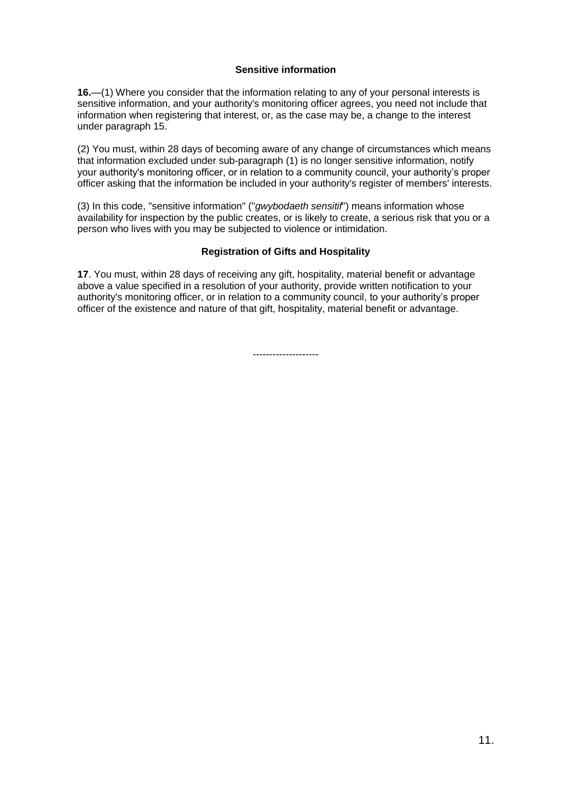### **Sensitive information**

**16.**—(1) Where you consider that the information relating to any of your personal interests is sensitive information, and your authority's monitoring officer agrees, you need not include that information when registering that interest, or, as the case may be, a change to the interest under paragraph 15.

(2) You must, within 28 days of becoming aware of any change of circumstances which means that information excluded under sub-paragraph (1) is no longer sensitive information, notify your authority's monitoring officer, or in relation to a community council, your authority's proper officer asking that the information be included in your authority's register of members' interests.

(3) In this code, "sensitive information" ("*gwybodaeth sensitif*") means information whose availability for inspection by the public creates, or is likely to create, a serious risk that you or a person who lives with you may be subjected to violence or intimidation.

## **Registration of Gifts and Hospitality**

**17**. You must, within 28 days of receiving any gift, hospitality, material benefit or advantage above a value specified in a resolution of your authority, provide written notification to your authority's monitoring officer, or in relation to a community council, to your authority's proper officer of the existence and nature of that gift, hospitality, material benefit or advantage.

--------------------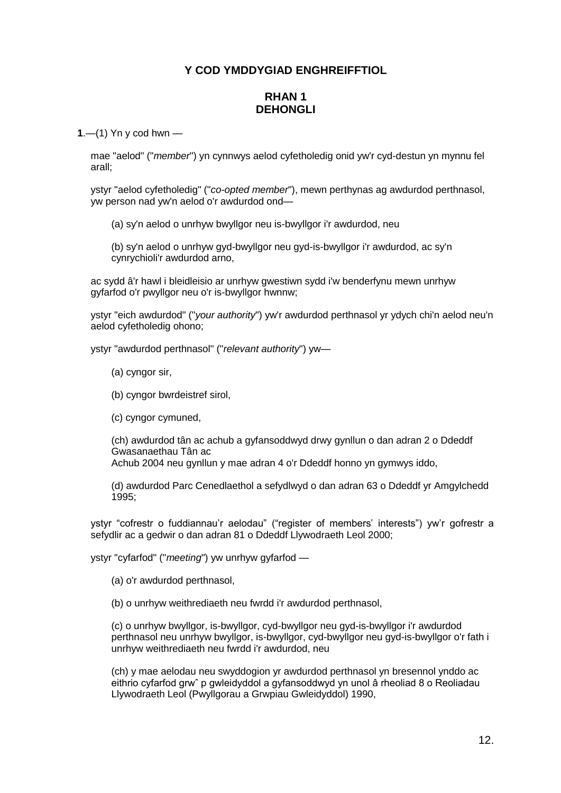# **Y COD YMDDYGIAD ENGHREIFFTIOL**

# **RHAN 1 DEHONGLI**

**1**.—(1) Yn y cod hwn —

mae "aelod" ("*member*") yn cynnwys aelod cyfetholedig onid yw'r cyd-destun yn mynnu fel arall;

ystyr "aelod cyfetholedig" ("*co-opted member*"), mewn perthynas ag awdurdod perthnasol, yw person nad yw'n aelod o'r awdurdod ond—

(a) sy'n aelod o unrhyw bwyllgor neu is-bwyllgor i'r awdurdod, neu

(b) sy'n aelod o unrhyw gyd-bwyllgor neu gyd-is-bwyllgor i'r awdurdod, ac sy'n cynrychioli'r awdurdod arno,

ac sydd â'r hawl i bleidleisio ar unrhyw gwestiwn sydd i'w benderfynu mewn unrhyw gyfarfod o'r pwyllgor neu o'r is-bwyllgor hwnnw;

ystyr "eich awdurdod" ("*your authority*") yw'r awdurdod perthnasol yr ydych chi'n aelod neu'n aelod cyfetholedig ohono;

ystyr "awdurdod perthnasol" ("*relevant authority*") yw—

- (a) cyngor sir,
- (b) cyngor bwrdeistref sirol,
- (c) cyngor cymuned,

(ch) awdurdod tân ac achub a gyfansoddwyd drwy gynllun o dan adran 2 o Ddeddf Gwasanaethau Tân ac Achub 2004 neu gynllun y mae adran 4 o'r Ddeddf honno yn gymwys iddo,

(d) awdurdod Parc Cenedlaethol a sefydlwyd o dan adran 63 o Ddeddf yr Amgylchedd 1995;

ystyr "cofrestr o fuddiannau'r aelodau" ("register of members' interests") yw'r gofrestr a sefydlir ac a gedwir o dan adran 81 o Ddeddf Llywodraeth Leol 2000;

ystyr "cyfarfod" ("*meeting*") yw unrhyw gyfarfod —

(a) o'r awdurdod perthnasol,

(b) o unrhyw weithrediaeth neu fwrdd i'r awdurdod perthnasol,

(c) o unrhyw bwyllgor, is-bwyllgor, cyd-bwyllgor neu gyd-is-bwyllgor i'r awdurdod perthnasol neu unrhyw bwyllgor, is-bwyllgor, cyd-bwyllgor neu gyd-is-bwyllgor o'r fath i unrhyw weithrediaeth neu fwrdd i'r awdurdod, neu

(ch) y mae aelodau neu swyddogion yr awdurdod perthnasol yn bresennol ynddo ac eithrio cyfarfod grwˆ p gwleidyddol a gyfansoddwyd yn unol â rheoliad 8 o Reoliadau Llywodraeth Leol (Pwyllgorau a Grwpiau Gwleidyddol) 1990,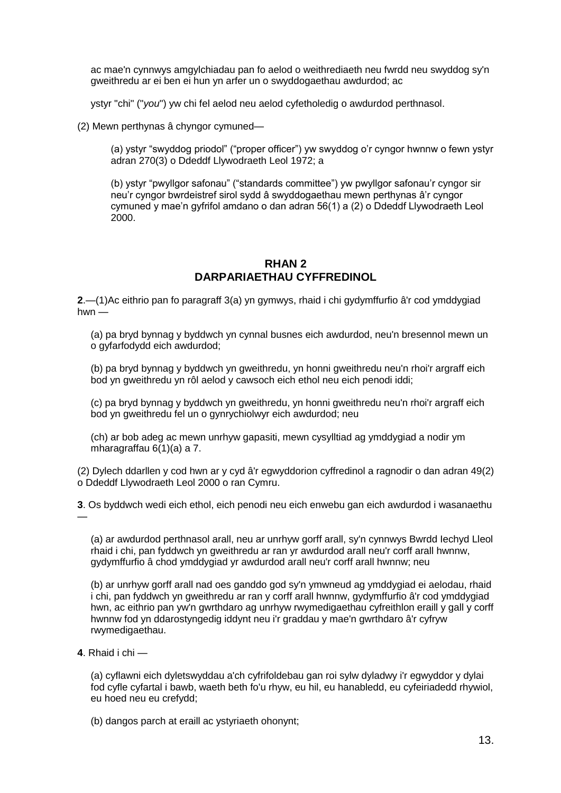ac mae'n cynnwys amgylchiadau pan fo aelod o weithrediaeth neu fwrdd neu swyddog sy'n gweithredu ar ei ben ei hun yn arfer un o swyddogaethau awdurdod; ac

ystyr "chi" ("*you*") yw chi fel aelod neu aelod cyfetholedig o awdurdod perthnasol.

(2) Mewn perthynas â chyngor cymuned—

(a) ystyr "swyddog priodol" ("proper officer") yw swyddog o'r cyngor hwnnw o fewn ystyr adran 270(3) o Ddeddf Llywodraeth Leol 1972; a

(b) ystyr "pwyllgor safonau" ("standards committee") yw pwyllgor safonau'r cyngor sir neu'r cyngor bwrdeistref sirol sydd â swyddogaethau mewn perthynas â'r cyngor cymuned y mae'n gyfrifol amdano o dan adran 56(1) a (2) o Ddeddf Llywodraeth Leol 2000.

# **RHAN 2 DARPARIAETHAU CYFFREDINOL**

**2**.—(1)Ac eithrio pan fo paragraff 3(a) yn gymwys, rhaid i chi gydymffurfio â'r cod ymddygiad hwn —

(a) pa bryd bynnag y byddwch yn cynnal busnes eich awdurdod, neu'n bresennol mewn un o gyfarfodydd eich awdurdod;

(b) pa bryd bynnag y byddwch yn gweithredu, yn honni gweithredu neu'n rhoi'r argraff eich bod yn gweithredu yn rôl aelod y cawsoch eich ethol neu eich penodi iddi;

(c) pa bryd bynnag y byddwch yn gweithredu, yn honni gweithredu neu'n rhoi'r argraff eich bod yn gweithredu fel un o gynrychiolwyr eich awdurdod; neu

(ch) ar bob adeg ac mewn unrhyw gapasiti, mewn cysylltiad ag ymddygiad a nodir ym mharagraffau 6(1)(a) a 7.

(2) Dylech ddarllen y cod hwn ar y cyd â'r egwyddorion cyffredinol a ragnodir o dan adran 49(2) o Ddeddf Llywodraeth Leol 2000 o ran Cymru.

**3**. Os byddwch wedi eich ethol, eich penodi neu eich enwebu gan eich awdurdod i wasanaethu —

(a) ar awdurdod perthnasol arall, neu ar unrhyw gorff arall, sy'n cynnwys Bwrdd Iechyd Lleol rhaid i chi, pan fyddwch yn gweithredu ar ran yr awdurdod arall neu'r corff arall hwnnw, gydymffurfio â chod ymddygiad yr awdurdod arall neu'r corff arall hwnnw; neu

(b) ar unrhyw gorff arall nad oes ganddo god sy'n ymwneud ag ymddygiad ei aelodau, rhaid i chi, pan fyddwch yn gweithredu ar ran y corff arall hwnnw, gydymffurfio â'r cod ymddygiad hwn, ac eithrio pan yw'n gwrthdaro ag unrhyw rwymedigaethau cyfreithlon eraill y gall y corff hwnnw fod yn ddarostyngedig iddynt neu i'r graddau y mae'n gwrthdaro â'r cyfryw rwymedigaethau.

**4**. Rhaid i chi —

(a) cyflawni eich dyletswyddau a'ch cyfrifoldebau gan roi sylw dyladwy i'r egwyddor y dylai fod cyfle cyfartal i bawb, waeth beth fo'u rhyw, eu hil, eu hanabledd, eu cyfeiriadedd rhywiol, eu hoed neu eu crefydd;

(b) dangos parch at eraill ac ystyriaeth ohonynt;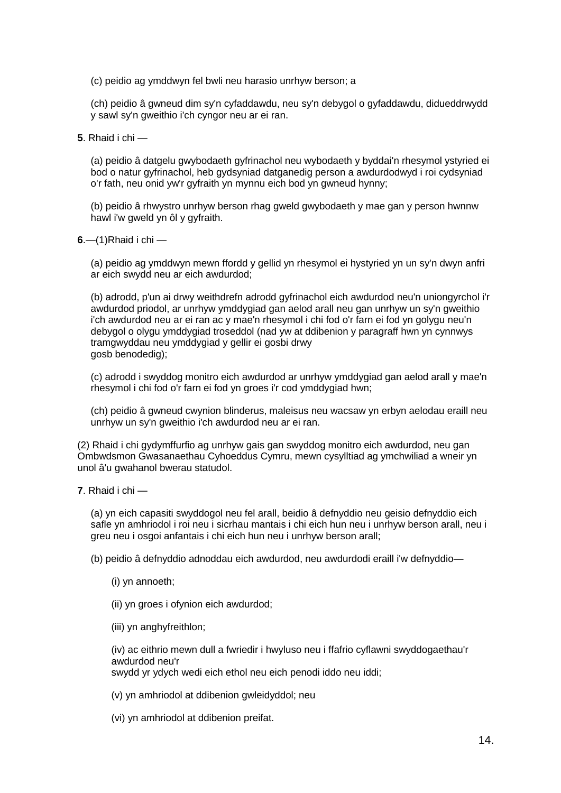(c) peidio ag ymddwyn fel bwli neu harasio unrhyw berson; a

(ch) peidio â gwneud dim sy'n cyfaddawdu, neu sy'n debygol o gyfaddawdu, didueddrwydd y sawl sy'n gweithio i'ch cyngor neu ar ei ran.

**5**. Rhaid i chi —

(a) peidio â datgelu gwybodaeth gyfrinachol neu wybodaeth y byddai'n rhesymol ystyried ei bod o natur gyfrinachol, heb gydsyniad datganedig person a awdurdodwyd i roi cydsyniad o'r fath, neu onid yw'r gyfraith yn mynnu eich bod yn gwneud hynny;

(b) peidio â rhwystro unrhyw berson rhag gweld gwybodaeth y mae gan y person hwnnw hawl i'w gweld yn ôl y gyfraith.

**6**.—(1)Rhaid i chi —

(a) peidio ag ymddwyn mewn ffordd y gellid yn rhesymol ei hystyried yn un sy'n dwyn anfri ar eich swydd neu ar eich awdurdod;

(b) adrodd, p'un ai drwy weithdrefn adrodd gyfrinachol eich awdurdod neu'n uniongyrchol i'r awdurdod priodol, ar unrhyw ymddygiad gan aelod arall neu gan unrhyw un sy'n gweithio i'ch awdurdod neu ar ei ran ac y mae'n rhesymol i chi fod o'r farn ei fod yn golygu neu'n debygol o olygu ymddygiad troseddol (nad yw at ddibenion y paragraff hwn yn cynnwys tramgwyddau neu ymddygiad y gellir ei gosbi drwy gosb benodedig);

(c) adrodd i swyddog monitro eich awdurdod ar unrhyw ymddygiad gan aelod arall y mae'n rhesymol i chi fod o'r farn ei fod yn groes i'r cod ymddygiad hwn;

(ch) peidio â gwneud cwynion blinderus, maleisus neu wacsaw yn erbyn aelodau eraill neu unrhyw un sy'n gweithio i'ch awdurdod neu ar ei ran.

(2) Rhaid i chi gydymffurfio ag unrhyw gais gan swyddog monitro eich awdurdod, neu gan Ombwdsmon Gwasanaethau Cyhoeddus Cymru, mewn cysylltiad ag ymchwiliad a wneir yn unol â'u gwahanol bwerau statudol.

**7**. Rhaid i chi —

(a) yn eich capasiti swyddogol neu fel arall, beidio â defnyddio neu geisio defnyddio eich safle yn amhriodol i roi neu i sicrhau mantais i chi eich hun neu i unrhyw berson arall, neu i greu neu i osgoi anfantais i chi eich hun neu i unrhyw berson arall;

(b) peidio â defnyddio adnoddau eich awdurdod, neu awdurdodi eraill i'w defnyddio—

- (i) yn annoeth;
- (ii) yn groes i ofynion eich awdurdod;
- (iii) yn anghyfreithlon;

(iv) ac eithrio mewn dull a fwriedir i hwyluso neu i ffafrio cyflawni swyddogaethau'r awdurdod neu'r swydd yr ydych wedi eich ethol neu eich penodi iddo neu iddi;

(v) yn amhriodol at ddibenion gwleidyddol; neu

(vi) yn amhriodol at ddibenion preifat.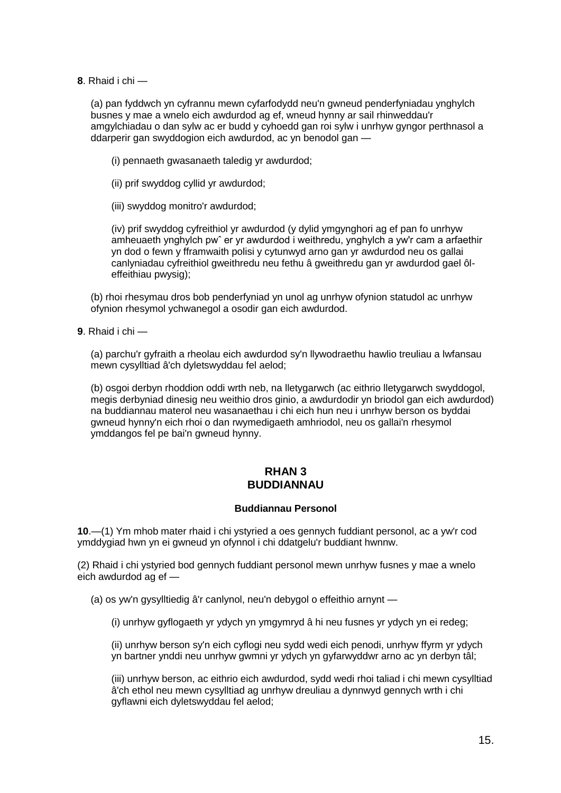**8**. Rhaid i chi —

(a) pan fyddwch yn cyfrannu mewn cyfarfodydd neu'n gwneud penderfyniadau ynghylch busnes y mae a wnelo eich awdurdod ag ef, wneud hynny ar sail rhinweddau'r amgylchiadau o dan sylw ac er budd y cyhoedd gan roi sylw i unrhyw gyngor perthnasol a ddarperir gan swyddogion eich awdurdod, ac yn benodol gan —

- (i) pennaeth gwasanaeth taledig yr awdurdod;
- (ii) prif swyddog cyllid yr awdurdod;
- (iii) swyddog monitro'r awdurdod;

(iv) prif swyddog cyfreithiol yr awdurdod (y dylid ymgynghori ag ef pan fo unrhyw amheuaeth ynghylch pwˆ er yr awdurdod i weithredu, ynghylch a yw'r cam a arfaethir yn dod o fewn y fframwaith polisi y cytunwyd arno gan yr awdurdod neu os gallai canlyniadau cyfreithiol gweithredu neu fethu â gweithredu gan yr awdurdod gael ôleffeithiau pwysig);

(b) rhoi rhesymau dros bob penderfyniad yn unol ag unrhyw ofynion statudol ac unrhyw ofynion rhesymol ychwanegol a osodir gan eich awdurdod.

**9**. Rhaid i chi —

(a) parchu'r gyfraith a rheolau eich awdurdod sy'n llywodraethu hawlio treuliau a lwfansau mewn cysylltiad â'ch dyletswyddau fel aelod;

(b) osgoi derbyn rhoddion oddi wrth neb, na lletygarwch (ac eithrio lletygarwch swyddogol, megis derbyniad dinesig neu weithio dros ginio, a awdurdodir yn briodol gan eich awdurdod) na buddiannau materol neu wasanaethau i chi eich hun neu i unrhyw berson os byddai gwneud hynny'n eich rhoi o dan rwymedigaeth amhriodol, neu os gallai'n rhesymol ymddangos fel pe bai'n gwneud hynny.

## **RHAN 3 BUDDIANNAU**

### **Buddiannau Personol**

**10**.—(1) Ym mhob mater rhaid i chi ystyried a oes gennych fuddiant personol, ac a yw'r cod ymddygiad hwn yn ei gwneud yn ofynnol i chi ddatgelu'r buddiant hwnnw.

(2) Rhaid i chi ystyried bod gennych fuddiant personol mewn unrhyw fusnes y mae a wnelo eich awdurdod ag ef —

(a) os yw'n gysylltiedig â'r canlynol, neu'n debygol o effeithio arnynt —

(i) unrhyw gyflogaeth yr ydych yn ymgymryd â hi neu fusnes yr ydych yn ei redeg;

(ii) unrhyw berson sy'n eich cyflogi neu sydd wedi eich penodi, unrhyw ffyrm yr ydych yn bartner ynddi neu unrhyw gwmni yr ydych yn gyfarwyddwr arno ac yn derbyn tâl;

(iii) unrhyw berson, ac eithrio eich awdurdod, sydd wedi rhoi taliad i chi mewn cysylltiad â'ch ethol neu mewn cysylltiad ag unrhyw dreuliau a dynnwyd gennych wrth i chi gyflawni eich dyletswyddau fel aelod;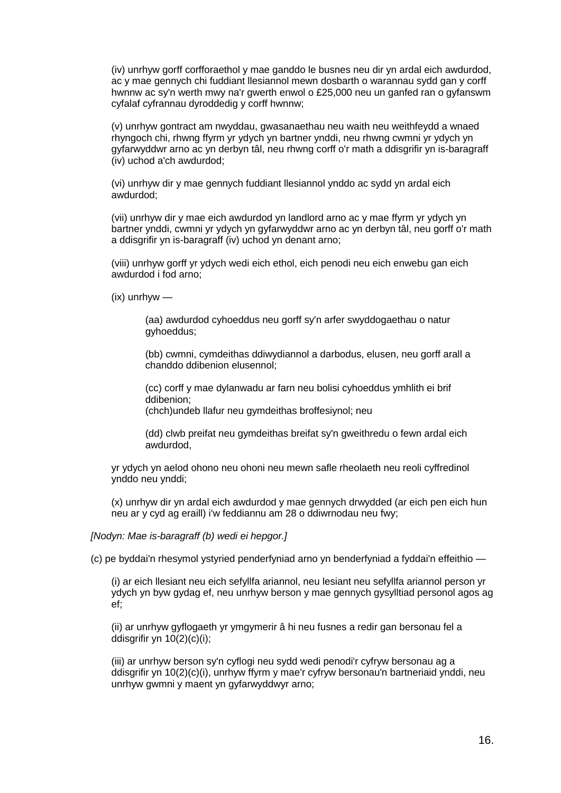(iv) unrhyw gorff corfforaethol y mae ganddo le busnes neu dir yn ardal eich awdurdod, ac y mae gennych chi fuddiant llesiannol mewn dosbarth o warannau sydd gan y corff hwnnw ac sy'n werth mwy na'r gwerth enwol o £25,000 neu un ganfed ran o gyfanswm cyfalaf cyfrannau dyroddedig y corff hwnnw;

(v) unrhyw gontract am nwyddau, gwasanaethau neu waith neu weithfeydd a wnaed rhyngoch chi, rhwng ffyrm yr ydych yn bartner ynddi, neu rhwng cwmni yr ydych yn gyfarwyddwr arno ac yn derbyn tâl, neu rhwng corff o'r math a ddisgrifir yn is-baragraff (iv) uchod a'ch awdurdod;

(vi) unrhyw dir y mae gennych fuddiant llesiannol ynddo ac sydd yn ardal eich awdurdod;

(vii) unrhyw dir y mae eich awdurdod yn landlord arno ac y mae ffyrm yr ydych yn bartner ynddi, cwmni yr ydych yn gyfarwyddwr arno ac yn derbyn tâl, neu gorff o'r math a ddisgrifir yn is-baragraff (iv) uchod yn denant arno;

(viii) unrhyw gorff yr ydych wedi eich ethol, eich penodi neu eich enwebu gan eich awdurdod i fod arno;

(ix) unrhyw —

(aa) awdurdod cyhoeddus neu gorff sy'n arfer swyddogaethau o natur gyhoeddus;

(bb) cwmni, cymdeithas ddiwydiannol a darbodus, elusen, neu gorff arall a chanddo ddibenion elusennol;

(cc) corff y mae dylanwadu ar farn neu bolisi cyhoeddus ymhlith ei brif ddibenion;

(chch)undeb llafur neu gymdeithas broffesiynol; neu

(dd) clwb preifat neu gymdeithas breifat sy'n gweithredu o fewn ardal eich awdurdod,

yr ydych yn aelod ohono neu ohoni neu mewn safle rheolaeth neu reoli cyffredinol ynddo neu ynddi;

(x) unrhyw dir yn ardal eich awdurdod y mae gennych drwydded (ar eich pen eich hun neu ar y cyd ag eraill) i'w feddiannu am 28 o ddiwrnodau neu fwy;

*[Nodyn: Mae is-baragraff (b) wedi ei hepgor.]*

(c) pe byddai'n rhesymol ystyried penderfyniad arno yn benderfyniad a fyddai'n effeithio —

(i) ar eich llesiant neu eich sefyllfa ariannol, neu lesiant neu sefyllfa ariannol person yr ydych yn byw gydag ef, neu unrhyw berson y mae gennych gysylltiad personol agos ag ef;

(ii) ar unrhyw gyflogaeth yr ymgymerir â hi neu fusnes a redir gan bersonau fel a ddisgrifir yn  $10(2)(c)(i)$ ;

(iii) ar unrhyw berson sy'n cyflogi neu sydd wedi penodi'r cyfryw bersonau ag a ddisgrifir yn 10(2)(c)(i), unrhyw ffyrm y mae'r cyfryw bersonau'n bartneriaid ynddi, neu unrhyw gwmni y maent yn gyfarwyddwyr arno;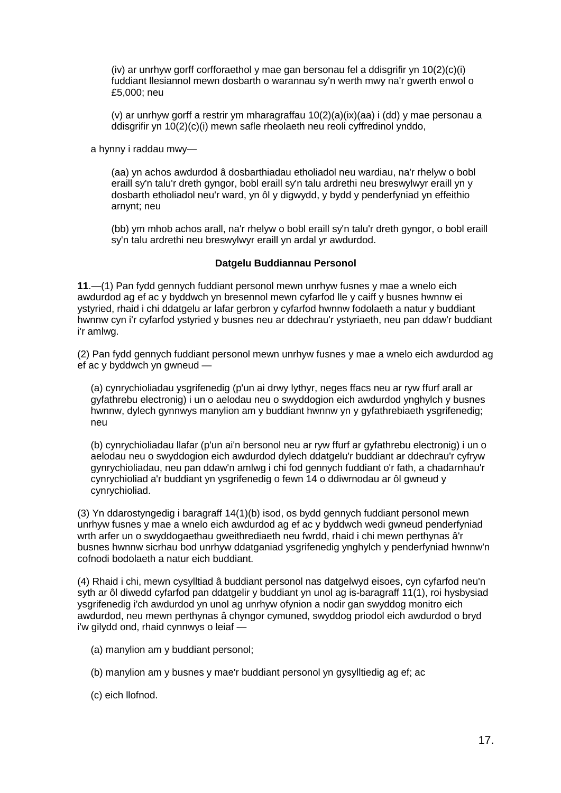(iv) ar unrhyw gorff corfforaethol y mae gan bersonau fel a ddisgrifir yn 10(2)(c)(i) fuddiant llesiannol mewn dosbarth o warannau sy'n werth mwy na'r gwerth enwol o £5,000; neu

(v) ar unrhyw gorff a restrir ym mharagraffau 10(2)(a)(ix)(aa) i (dd) y mae personau a ddisgrifir yn 10(2)(c)(i) mewn safle rheolaeth neu reoli cyffredinol ynddo,

a hynny i raddau mwy—

(aa) yn achos awdurdod â dosbarthiadau etholiadol neu wardiau, na'r rhelyw o bobl eraill sy'n talu'r dreth gyngor, bobl eraill sy'n talu ardrethi neu breswylwyr eraill yn y dosbarth etholiadol neu'r ward, yn ôl y digwydd, y bydd y penderfyniad yn effeithio arnynt; neu

(bb) ym mhob achos arall, na'r rhelyw o bobl eraill sy'n talu'r dreth gyngor, o bobl eraill sy'n talu ardrethi neu breswylwyr eraill yn ardal yr awdurdod.

#### **Datgelu Buddiannau Personol**

**11**.—(1) Pan fydd gennych fuddiant personol mewn unrhyw fusnes y mae a wnelo eich awdurdod ag ef ac y byddwch yn bresennol mewn cyfarfod lle y caiff y busnes hwnnw ei ystyried, rhaid i chi ddatgelu ar lafar gerbron y cyfarfod hwnnw fodolaeth a natur y buddiant hwnnw cyn i'r cyfarfod ystyried y busnes neu ar ddechrau'r ystyriaeth, neu pan ddaw'r buddiant i'r amlwg.

(2) Pan fydd gennych fuddiant personol mewn unrhyw fusnes y mae a wnelo eich awdurdod ag ef ac y byddwch yn gwneud —

(a) cynrychioliadau ysgrifenedig (p'un ai drwy lythyr, neges ffacs neu ar ryw ffurf arall ar gyfathrebu electronig) i un o aelodau neu o swyddogion eich awdurdod ynghylch y busnes hwnnw, dylech gynnwys manylion am y buddiant hwnnw yn y gyfathrebiaeth ysgrifenedig; neu

(b) cynrychioliadau llafar (p'un ai'n bersonol neu ar ryw ffurf ar gyfathrebu electronig) i un o aelodau neu o swyddogion eich awdurdod dylech ddatgelu'r buddiant ar ddechrau'r cyfryw gynrychioliadau, neu pan ddaw'n amlwg i chi fod gennych fuddiant o'r fath, a chadarnhau'r cynrychioliad a'r buddiant yn ysgrifenedig o fewn 14 o ddiwrnodau ar ôl gwneud y cynrychioliad.

(3) Yn ddarostyngedig i baragraff 14(1)(b) isod, os bydd gennych fuddiant personol mewn unrhyw fusnes y mae a wnelo eich awdurdod ag ef ac y byddwch wedi gwneud penderfyniad wrth arfer un o swyddogaethau gweithrediaeth neu fwrdd, rhaid i chi mewn perthynas â'r busnes hwnnw sicrhau bod unrhyw ddatganiad ysgrifenedig ynghylch y penderfyniad hwnnw'n cofnodi bodolaeth a natur eich buddiant.

(4) Rhaid i chi, mewn cysylltiad â buddiant personol nas datgelwyd eisoes, cyn cyfarfod neu'n syth ar ôl diwedd cyfarfod pan ddatgelir y buddiant yn unol ag is-baragraff 11(1), roi hysbysiad ysgrifenedig i'ch awdurdod yn unol ag unrhyw ofynion a nodir gan swyddog monitro eich awdurdod, neu mewn perthynas â chyngor cymuned, swyddog priodol eich awdurdod o bryd i'w gilydd ond, rhaid cynnwys o leiaf —

- (a) manylion am y buddiant personol;
- (b) manylion am y busnes y mae'r buddiant personol yn gysylltiedig ag ef; ac
- (c) eich llofnod.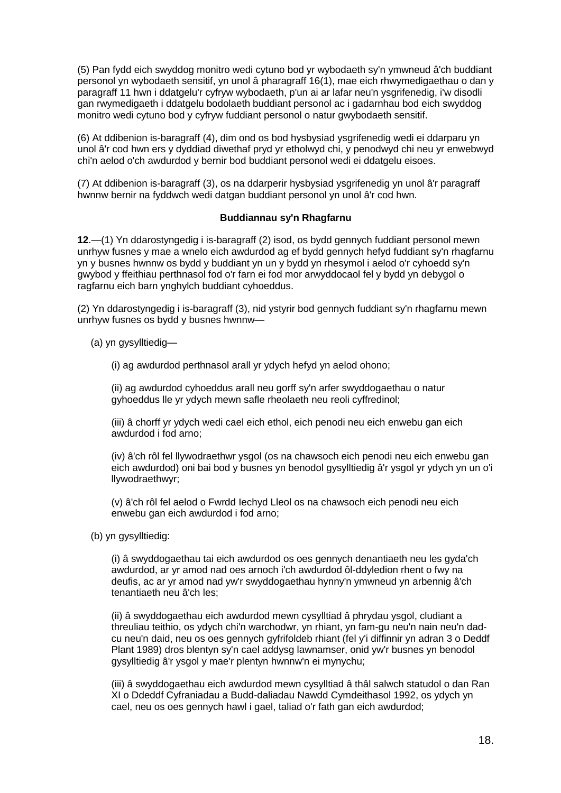(5) Pan fydd eich swyddog monitro wedi cytuno bod yr wybodaeth sy'n ymwneud â'ch buddiant personol yn wybodaeth sensitif, yn unol â pharagraff 16(1), mae eich rhwymedigaethau o dan y paragraff 11 hwn i ddatgelu'r cyfryw wybodaeth, p'un ai ar lafar neu'n ysgrifenedig, i'w disodli gan rwymedigaeth i ddatgelu bodolaeth buddiant personol ac i gadarnhau bod eich swyddog monitro wedi cytuno bod y cyfryw fuddiant personol o natur gwybodaeth sensitif.

(6) At ddibenion is-baragraff (4), dim ond os bod hysbysiad ysgrifenedig wedi ei ddarparu yn unol â'r cod hwn ers y dyddiad diwethaf pryd yr etholwyd chi, y penodwyd chi neu yr enwebwyd chi'n aelod o'ch awdurdod y bernir bod buddiant personol wedi ei ddatgelu eisoes.

(7) At ddibenion is-baragraff (3), os na ddarperir hysbysiad ysgrifenedig yn unol â'r paragraff hwnnw bernir na fyddwch wedi datgan buddiant personol yn unol â'r cod hwn.

## **Buddiannau sy'n Rhagfarnu**

**12**.—(1) Yn ddarostyngedig i is-baragraff (2) isod, os bydd gennych fuddiant personol mewn unrhyw fusnes y mae a wnelo eich awdurdod ag ef bydd gennych hefyd fuddiant sy'n rhagfarnu yn y busnes hwnnw os bydd y buddiant yn un y bydd yn rhesymol i aelod o'r cyhoedd sy'n gwybod y ffeithiau perthnasol fod o'r farn ei fod mor arwyddocaol fel y bydd yn debygol o ragfarnu eich barn ynghylch buddiant cyhoeddus.

(2) Yn ddarostyngedig i is-baragraff (3), nid ystyrir bod gennych fuddiant sy'n rhagfarnu mewn unrhyw fusnes os bydd y busnes hwnnw—

(a) yn gysylltiedig—

(i) ag awdurdod perthnasol arall yr ydych hefyd yn aelod ohono;

(ii) ag awdurdod cyhoeddus arall neu gorff sy'n arfer swyddogaethau o natur gyhoeddus lle yr ydych mewn safle rheolaeth neu reoli cyffredinol;

(iii) â chorff yr ydych wedi cael eich ethol, eich penodi neu eich enwebu gan eich awdurdod i fod arno;

(iv) â'ch rôl fel llywodraethwr ysgol (os na chawsoch eich penodi neu eich enwebu gan eich awdurdod) oni bai bod y busnes yn benodol gysylltiedig â'r ysgol yr ydych yn un o'i llywodraethwyr;

(v) â'ch rôl fel aelod o Fwrdd Iechyd Lleol os na chawsoch eich penodi neu eich enwebu gan eich awdurdod i fod arno;

(b) yn gysylltiedig:

(i) â swyddogaethau tai eich awdurdod os oes gennych denantiaeth neu les gyda'ch awdurdod, ar yr amod nad oes arnoch i'ch awdurdod ôl-ddyledion rhent o fwy na deufis, ac ar yr amod nad yw'r swyddogaethau hynny'n ymwneud yn arbennig â'ch tenantiaeth neu â'ch les;

(ii) â swyddogaethau eich awdurdod mewn cysylltiad â phrydau ysgol, cludiant a threuliau teithio, os ydych chi'n warchodwr, yn rhiant, yn fam-gu neu'n nain neu'n dadcu neu'n daid, neu os oes gennych gyfrifoldeb rhiant (fel y'i diffinnir yn adran 3 o Deddf Plant 1989) dros blentyn sy'n cael addysg lawnamser, onid yw'r busnes yn benodol gysylltiedig â'r ysgol y mae'r plentyn hwnnw'n ei mynychu;

(iii) â swyddogaethau eich awdurdod mewn cysylltiad â thâl salwch statudol o dan Ran XI o Ddeddf Cyfraniadau a Budd-daliadau Nawdd Cymdeithasol 1992, os ydych yn cael, neu os oes gennych hawl i gael, taliad o'r fath gan eich awdurdod;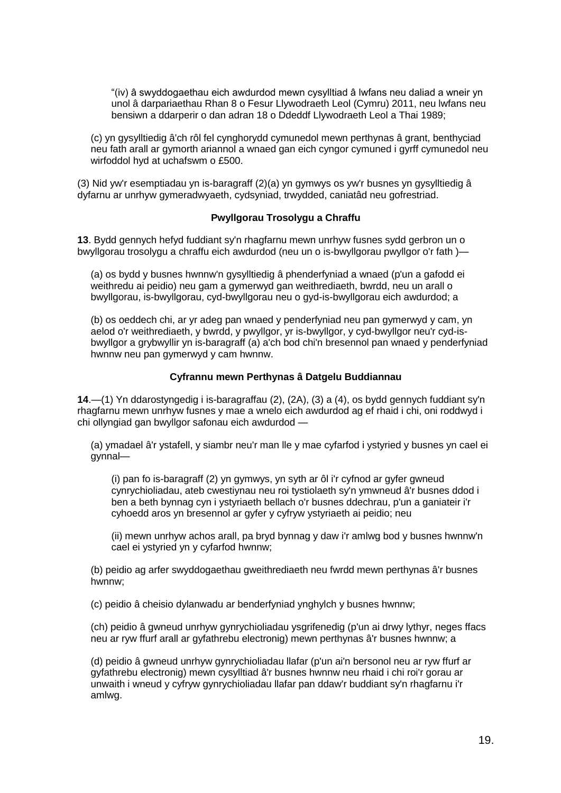―(iv) â swyddogaethau eich awdurdod mewn cysylltiad â lwfans neu daliad a wneir yn unol â darpariaethau Rhan 8 o Fesur Llywodraeth Leol (Cymru) 2011, neu lwfans neu bensiwn a ddarperir o dan adran 18 o Ddeddf Llywodraeth Leol a Thai 1989;

(c) yn gysylltiedig â'ch rôl fel cynghorydd cymunedol mewn perthynas â grant, benthyciad neu fath arall ar gymorth ariannol a wnaed gan eich cyngor cymuned i gyrff cymunedol neu wirfoddol hyd at uchafswm o £500.

(3) Nid yw'r esemptiadau yn is-baragraff (2)(a) yn gymwys os yw'r busnes yn gysylltiedig â dyfarnu ar unrhyw gymeradwyaeth, cydsyniad, trwydded, caniatâd neu gofrestriad.

### **Pwyllgorau Trosolygu a Chraffu**

**13**. Bydd gennych hefyd fuddiant sy'n rhagfarnu mewn unrhyw fusnes sydd gerbron un o bwyllgorau trosolygu a chraffu eich awdurdod (neu un o is-bwyllgorau pwyllgor o'r fath )—

(a) os bydd y busnes hwnnw'n gysylltiedig â phenderfyniad a wnaed (p'un a gafodd ei weithredu ai peidio) neu gam a gymerwyd gan weithrediaeth, bwrdd, neu un arall o bwyllgorau, is-bwyllgorau, cyd-bwyllgorau neu o gyd-is-bwyllgorau eich awdurdod; a

(b) os oeddech chi, ar yr adeg pan wnaed y penderfyniad neu pan gymerwyd y cam, yn aelod o'r weithrediaeth, y bwrdd, y pwyllgor, yr is-bwyllgor, y cyd-bwyllgor neu'r cyd-isbwyllgor a grybwyllir yn is-baragraff (a) a'ch bod chi'n bresennol pan wnaed y penderfyniad hwnnw neu pan gymerwyd y cam hwnnw.

### **Cyfrannu mewn Perthynas â Datgelu Buddiannau**

**14**.—(1) Yn ddarostyngedig i is-baragraffau (2), (2A), (3) a (4), os bydd gennych fuddiant sy'n rhagfarnu mewn unrhyw fusnes y mae a wnelo eich awdurdod ag ef rhaid i chi, oni roddwyd i chi ollyngiad gan bwyllgor safonau eich awdurdod —

(a) ymadael â'r ystafell, y siambr neu'r man lle y mae cyfarfod i ystyried y busnes yn cael ei gynnal—

(i) pan fo is-baragraff (2) yn gymwys, yn syth ar ôl i'r cyfnod ar gyfer gwneud cynrychioliadau, ateb cwestiynau neu roi tystiolaeth sy'n ymwneud â'r busnes ddod i ben a beth bynnag cyn i ystyriaeth bellach o'r busnes ddechrau, p'un a ganiateir i'r cyhoedd aros yn bresennol ar gyfer y cyfryw ystyriaeth ai peidio; neu

(ii) mewn unrhyw achos arall, pa bryd bynnag y daw i'r amlwg bod y busnes hwnnw'n cael ei ystyried yn y cyfarfod hwnnw;

(b) peidio ag arfer swyddogaethau gweithrediaeth neu fwrdd mewn perthynas â'r busnes hwnnw;

(c) peidio â cheisio dylanwadu ar benderfyniad ynghylch y busnes hwnnw;

(ch) peidio â gwneud unrhyw gynrychioliadau ysgrifenedig (p'un ai drwy lythyr, neges ffacs neu ar ryw ffurf arall ar gyfathrebu electronig) mewn perthynas â'r busnes hwnnw; a

(d) peidio â gwneud unrhyw gynrychioliadau llafar (p'un ai'n bersonol neu ar ryw ffurf ar gyfathrebu electronig) mewn cysylltiad â'r busnes hwnnw neu rhaid i chi roi'r gorau ar unwaith i wneud y cyfryw gynrychioliadau llafar pan ddaw'r buddiant sy'n rhagfarnu i'r amlwg.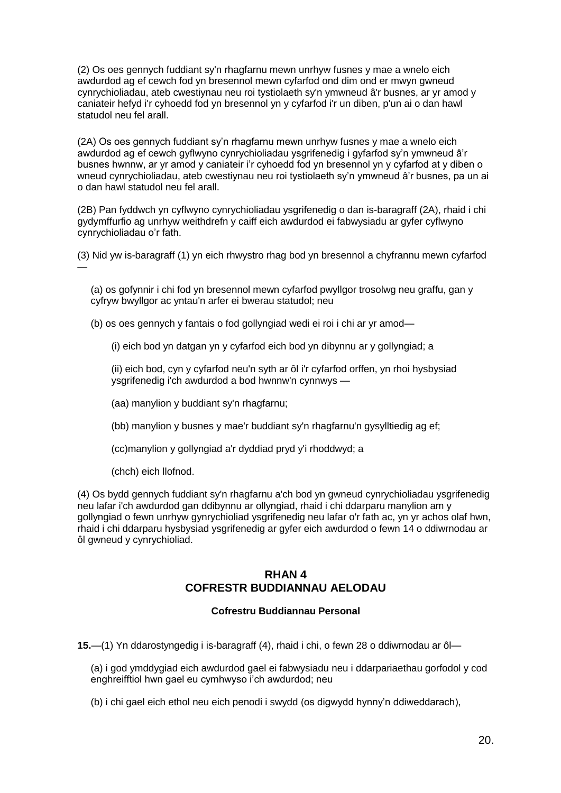(2) Os oes gennych fuddiant sy'n rhagfarnu mewn unrhyw fusnes y mae a wnelo eich awdurdod ag ef cewch fod yn bresennol mewn cyfarfod ond dim ond er mwyn gwneud cynrychioliadau, ateb cwestiynau neu roi tystiolaeth sy'n ymwneud â'r busnes, ar yr amod y caniateir hefyd i'r cyhoedd fod yn bresennol yn y cyfarfod i'r un diben, p'un ai o dan hawl statudol neu fel arall.

(2A) Os oes gennych fuddiant sy'n rhagfarnu mewn unrhyw fusnes y mae a wnelo eich awdurdod ag ef cewch gyflwyno cynrychioliadau ysgrifenedig i gyfarfod sy'n ymwneud â'r busnes hwnnw, ar yr amod y caniateir i'r cyhoedd fod yn bresennol yn y cyfarfod at y diben o wneud cynrychioliadau, ateb cwestiynau neu roi tystiolaeth sy'n ymwneud â'r busnes, pa un ai o dan hawl statudol neu fel arall.

(2B) Pan fyddwch yn cyflwyno cynrychioliadau ysgrifenedig o dan is-baragraff (2A), rhaid i chi gydymffurfio ag unrhyw weithdrefn y caiff eich awdurdod ei fabwysiadu ar gyfer cyflwyno cynrychioliadau o'r fath.

(3) Nid yw is-baragraff (1) yn eich rhwystro rhag bod yn bresennol a chyfrannu mewn cyfarfod

(a) os gofynnir i chi fod yn bresennol mewn cyfarfod pwyllgor trosolwg neu graffu, gan y cyfryw bwyllgor ac yntau'n arfer ei bwerau statudol; neu

(b) os oes gennych y fantais o fod gollyngiad wedi ei roi i chi ar yr amod—

(i) eich bod yn datgan yn y cyfarfod eich bod yn dibynnu ar y gollyngiad; a

(ii) eich bod, cyn y cyfarfod neu'n syth ar ôl i'r cyfarfod orffen, yn rhoi hysbysiad ysgrifenedig i'ch awdurdod a bod hwnnw'n cynnwys —

(aa) manylion y buddiant sy'n rhagfarnu;

(bb) manylion y busnes y mae'r buddiant sy'n rhagfarnu'n gysylltiedig ag ef;

(cc)manylion y gollyngiad a'r dyddiad pryd y'i rhoddwyd; a

(chch) eich llofnod.

—

(4) Os bydd gennych fuddiant sy'n rhagfarnu a'ch bod yn gwneud cynrychioliadau ysgrifenedig neu lafar i'ch awdurdod gan ddibynnu ar ollyngiad, rhaid i chi ddarparu manylion am y gollyngiad o fewn unrhyw gynrychioliad ysgrifenedig neu lafar o'r fath ac, yn yr achos olaf hwn, rhaid i chi ddarparu hysbysiad ysgrifenedig ar gyfer eich awdurdod o fewn 14 o ddiwrnodau ar ôl gwneud y cynrychioliad.

# **RHAN 4 COFRESTR BUDDIANNAU AELODAU**

### **Cofrestru Buddiannau Personal**

**15.**—(1) Yn ddarostyngedig i is-baragraff (4), rhaid i chi, o fewn 28 o ddiwrnodau ar ôl—

(a) i god ymddygiad eich awdurdod gael ei fabwysiadu neu i ddarpariaethau gorfodol y cod enghreifftiol hwn gael eu cymhwyso i'ch awdurdod; neu

(b) i chi gael eich ethol neu eich penodi i swydd (os digwydd hynny'n ddiweddarach),